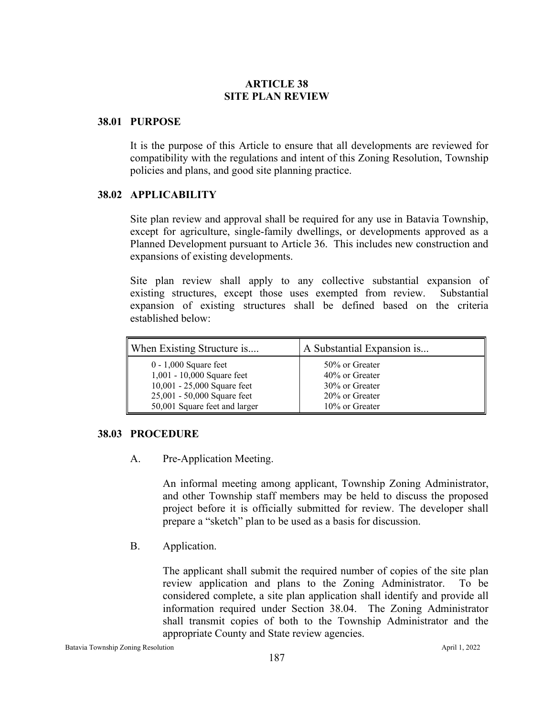## **ARTICLE 38 SITE PLAN REVIEW**

#### **38.01 PURPOSE**

It is the purpose of this Article to ensure that all developments are reviewed for compatibility with the regulations and intent of this Zoning Resolution, Township policies and plans, and good site planning practice.

# **38.02 APPLICABILITY**

Site plan review and approval shall be required for any use in Batavia Township, except for agriculture, single-family dwellings, or developments approved as a Planned Development pursuant to Article 36. This includes new construction and expansions of existing developments.

Site plan review shall apply to any collective substantial expansion of existing structures, except those uses exempted from review. Substantial expansion of existing structures shall be defined based on the criteria established below:

| When Existing Structure is    | A Substantial Expansion is |
|-------------------------------|----------------------------|
| $0 - 1,000$ Square feet       | 50% or Greater             |
| 1,001 - 10,000 Square feet    | 40% or Greater             |
| 10,001 - 25,000 Square feet   | 30% or Greater             |
| 25,001 - 50,000 Square feet   | 20% or Greater             |
| 50,001 Square feet and larger | 10% or Greater             |

#### **38.03 PROCEDURE**

A. Pre-Application Meeting.

An informal meeting among applicant, Township Zoning Administrator, and other Township staff members may be held to discuss the proposed project before it is officially submitted for review. The developer shall prepare a "sketch" plan to be used as a basis for discussion.

B. Application.

The applicant shall submit the required number of copies of the site plan review application and plans to the Zoning Administrator. To be considered complete, a site plan application shall identify and provide all information required under Section 38.04. The Zoning Administrator shall transmit copies of both to the Township Administrator and the appropriate County and State review agencies.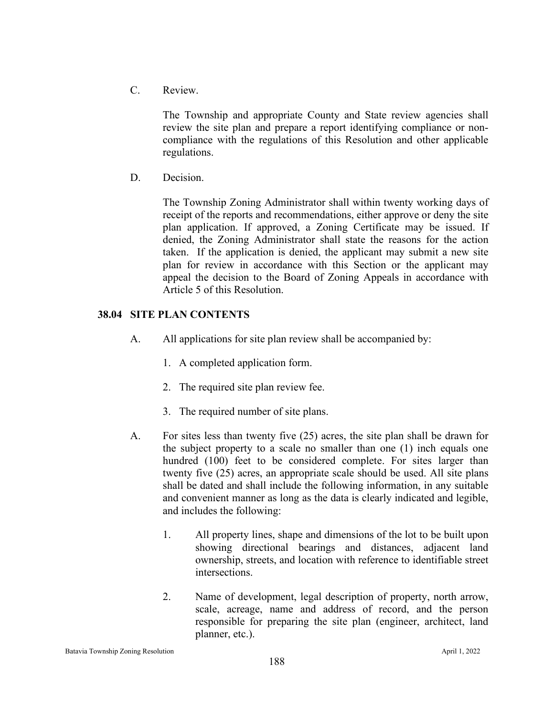C. Review.

The Township and appropriate County and State review agencies shall review the site plan and prepare a report identifying compliance or noncompliance with the regulations of this Resolution and other applicable regulations.

D. Decision.

The Township Zoning Administrator shall within twenty working days of receipt of the reports and recommendations, either approve or deny the site plan application. If approved, a Zoning Certificate may be issued. If denied, the Zoning Administrator shall state the reasons for the action taken. If the application is denied, the applicant may submit a new site plan for review in accordance with this Section or the applicant may appeal the decision to the Board of Zoning Appeals in accordance with Article 5 of this Resolution.

## **38.04 SITE PLAN CONTENTS**

- A. All applications for site plan review shall be accompanied by:
	- 1. A completed application form.
	- 2. The required site plan review fee.
	- 3. The required number of site plans.
- A. For sites less than twenty five (25) acres, the site plan shall be drawn for the subject property to a scale no smaller than one (1) inch equals one hundred (100) feet to be considered complete. For sites larger than twenty five (25) acres, an appropriate scale should be used. All site plans shall be dated and shall include the following information, in any suitable and convenient manner as long as the data is clearly indicated and legible, and includes the following:
	- 1. All property lines, shape and dimensions of the lot to be built upon showing directional bearings and distances, adjacent land ownership, streets, and location with reference to identifiable street intersections.
	- 2. Name of development, legal description of property, north arrow, scale, acreage, name and address of record, and the person responsible for preparing the site plan (engineer, architect, land planner, etc.).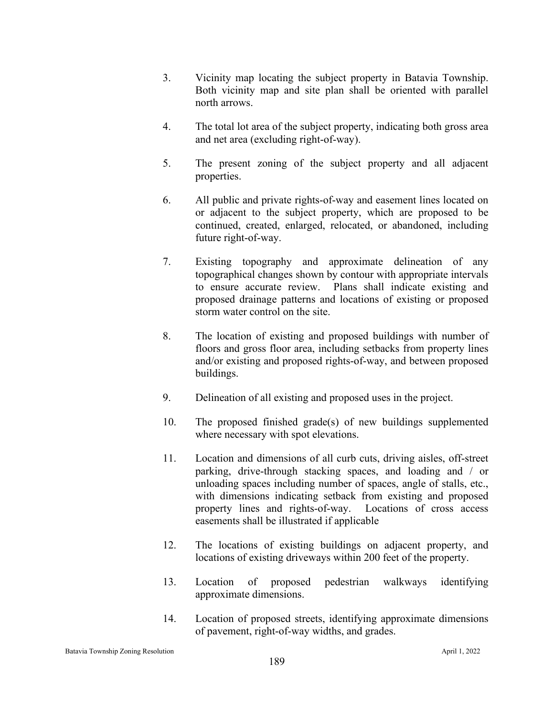- 3. Vicinity map locating the subject property in Batavia Township. Both vicinity map and site plan shall be oriented with parallel north arrows.
- 4. The total lot area of the subject property, indicating both gross area and net area (excluding right-of-way).
- 5. The present zoning of the subject property and all adjacent properties.
- 6. All public and private rights-of-way and easement lines located on or adjacent to the subject property, which are proposed to be continued, created, enlarged, relocated, or abandoned, including future right-of-way.
- 7. Existing topography and approximate delineation of any topographical changes shown by contour with appropriate intervals to ensure accurate review. Plans shall indicate existing and proposed drainage patterns and locations of existing or proposed storm water control on the site.
- 8. The location of existing and proposed buildings with number of floors and gross floor area, including setbacks from property lines and/or existing and proposed rights-of-way, and between proposed buildings.
- 9. Delineation of all existing and proposed uses in the project.
- 10. The proposed finished grade(s) of new buildings supplemented where necessary with spot elevations.
- 11. Location and dimensions of all curb cuts, driving aisles, off-street parking, drive-through stacking spaces, and loading and / or unloading spaces including number of spaces, angle of stalls, etc., with dimensions indicating setback from existing and proposed property lines and rights-of-way. Locations of cross access easements shall be illustrated if applicable
- 12. The locations of existing buildings on adjacent property, and locations of existing driveways within 200 feet of the property.
- 13. Location of proposed pedestrian walkways identifying approximate dimensions.
- 14. Location of proposed streets, identifying approximate dimensions of pavement, right-of-way widths, and grades.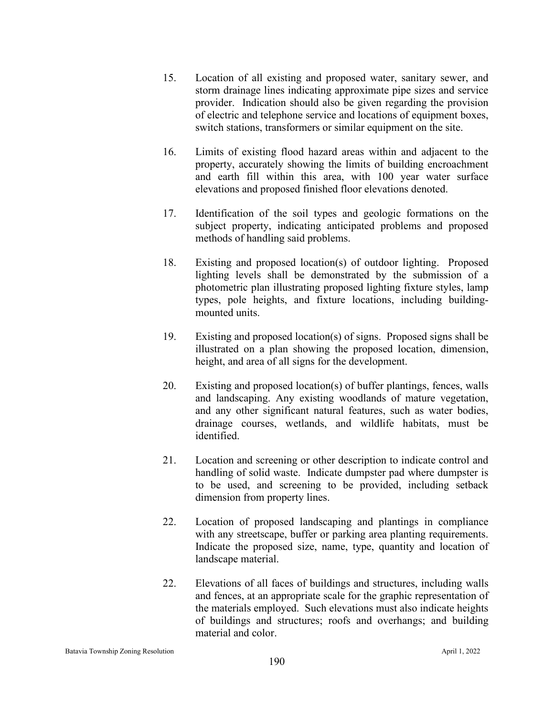- 15. Location of all existing and proposed water, sanitary sewer, and storm drainage lines indicating approximate pipe sizes and service provider. Indication should also be given regarding the provision of electric and telephone service and locations of equipment boxes, switch stations, transformers or similar equipment on the site.
- 16. Limits of existing flood hazard areas within and adjacent to the property, accurately showing the limits of building encroachment and earth fill within this area, with 100 year water surface elevations and proposed finished floor elevations denoted.
- 17. Identification of the soil types and geologic formations on the subject property, indicating anticipated problems and proposed methods of handling said problems.
- 18. Existing and proposed location(s) of outdoor lighting. Proposed lighting levels shall be demonstrated by the submission of a photometric plan illustrating proposed lighting fixture styles, lamp types, pole heights, and fixture locations, including buildingmounted units.
- 19. Existing and proposed location(s) of signs. Proposed signs shall be illustrated on a plan showing the proposed location, dimension, height, and area of all signs for the development.
- 20. Existing and proposed location(s) of buffer plantings, fences, walls and landscaping. Any existing woodlands of mature vegetation, and any other significant natural features, such as water bodies, drainage courses, wetlands, and wildlife habitats, must be identified.
- 21. Location and screening or other description to indicate control and handling of solid waste. Indicate dumpster pad where dumpster is to be used, and screening to be provided, including setback dimension from property lines.
- 22. Location of proposed landscaping and plantings in compliance with any streetscape, buffer or parking area planting requirements. Indicate the proposed size, name, type, quantity and location of landscape material.
- 22. Elevations of all faces of buildings and structures, including walls and fences, at an appropriate scale for the graphic representation of the materials employed. Such elevations must also indicate heights of buildings and structures; roofs and overhangs; and building material and color.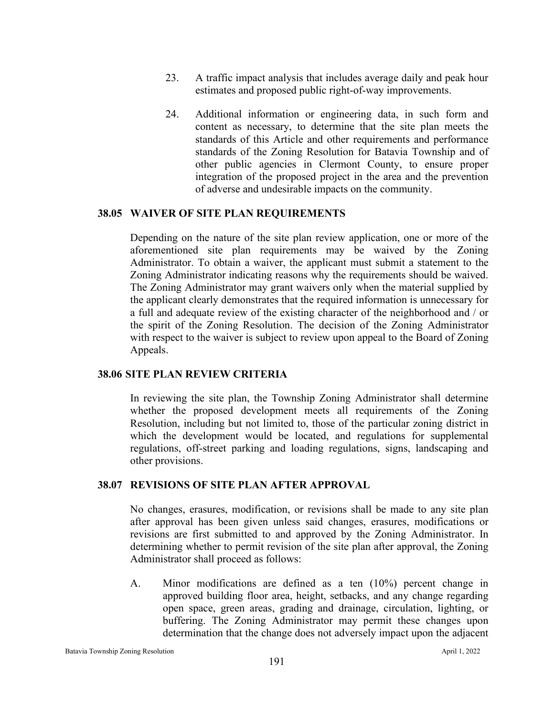- 23. A traffic impact analysis that includes average daily and peak hour estimates and proposed public right-of-way improvements.
- 24. Additional information or engineering data, in such form and content as necessary, to determine that the site plan meets the standards of this Article and other requirements and performance standards of the Zoning Resolution for Batavia Township and of other public agencies in Clermont County, to ensure proper integration of the proposed project in the area and the prevention of adverse and undesirable impacts on the community.

#### **38.05 WAIVER OF SITE PLAN REQUIREMENTS**

Depending on the nature of the site plan review application, one or more of the aforementioned site plan requirements may be waived by the Zoning Administrator. To obtain a waiver, the applicant must submit a statement to the Zoning Administrator indicating reasons why the requirements should be waived. The Zoning Administrator may grant waivers only when the material supplied by the applicant clearly demonstrates that the required information is unnecessary for a full and adequate review of the existing character of the neighborhood and / or the spirit of the Zoning Resolution. The decision of the Zoning Administrator with respect to the waiver is subject to review upon appeal to the Board of Zoning Appeals.

#### **38.06 SITE PLAN REVIEW CRITERIA**

In reviewing the site plan, the Township Zoning Administrator shall determine whether the proposed development meets all requirements of the Zoning Resolution, including but not limited to, those of the particular zoning district in which the development would be located, and regulations for supplemental regulations, off-street parking and loading regulations, signs, landscaping and other provisions.

### **38.07 REVISIONS OF SITE PLAN AFTER APPROVAL**

No changes, erasures, modification, or revisions shall be made to any site plan after approval has been given unless said changes, erasures, modifications or revisions are first submitted to and approved by the Zoning Administrator. In determining whether to permit revision of the site plan after approval, the Zoning Administrator shall proceed as follows:

A. Minor modifications are defined as a ten (10%) percent change in approved building floor area, height, setbacks, and any change regarding open space, green areas, grading and drainage, circulation, lighting, or buffering. The Zoning Administrator may permit these changes upon determination that the change does not adversely impact upon the adjacent